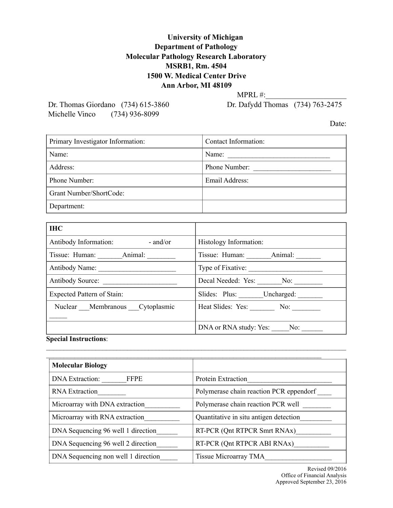## **University of Michigan Department of Pathology Molecular Pathology Research Laboratory MSRB1, Rm. 4504 1500 W. Medical Center Drive Ann Arbor, MI 48109**

MPRL #:

Michelle Vinco (734) 936-8099

Dr. Thomas Giordano (734) 615-3860 Dr. Dafydd Thomas (734) 763-2475

Date:

| Primary Investigator Information: | Contact Information: |
|-----------------------------------|----------------------|
| Name:                             | Name:                |
| Address:                          | Phone Number:        |
| Phone Number:                     | Email Address:       |
| Grant Number/ShortCode:           |                      |
| Department:                       |                      |

| <b>IHC</b>                                               |                                        |
|----------------------------------------------------------|----------------------------------------|
| Antibody Information:<br>$-$ and/or                      | Histology Information:                 |
| Tissue: Human: Animal:                                   |                                        |
|                                                          |                                        |
| Antibody Source:                                         | Decal Needed: Yes: No:                 |
| <b>Expected Pattern of Stain:</b>                        | Slides: Plus: _______Uncharged: ______ |
| Nuclear Membranous Cytoplasmic                           | Heat Slides: Yes: No:                  |
| $\sim$ $\sim$<br>$\cdot$ $\cdot$ $\cdot$ $\cdot$ $\cdot$ | DNA or RNA study: Yes: _____No: _____  |

**Special Instructions**:  $\mathcal{L}_\mathcal{L} = \{ \mathcal{L}_\mathcal{L} = \{ \mathcal{L}_\mathcal{L} = \{ \mathcal{L}_\mathcal{L} = \{ \mathcal{L}_\mathcal{L} = \{ \mathcal{L}_\mathcal{L} = \{ \mathcal{L}_\mathcal{L} = \{ \mathcal{L}_\mathcal{L} = \{ \mathcal{L}_\mathcal{L} = \{ \mathcal{L}_\mathcal{L} = \{ \mathcal{L}_\mathcal{L} = \{ \mathcal{L}_\mathcal{L} = \{ \mathcal{L}_\mathcal{L} = \{ \mathcal{L}_\mathcal{L} = \{ \mathcal{L}_\mathcal{$ 

| <b>Molecular Biology</b>              |                                         |
|---------------------------------------|-----------------------------------------|
| <b>DNA</b> Extraction:<br><b>FFPE</b> | Protein Extraction                      |
| <b>RNA</b> Extraction                 | Polymerase chain reaction PCR eppendorf |
| Microarray with DNA extraction        | Polymerase chain reaction PCR well      |
| Microarray with RNA extraction        | Quantitative in situ antigen detection  |
| DNA Sequencing 96 well 1 direction    | RT-PCR (Qnt RTPCR Smrt RNAx)            |
| DNA Sequencing 96 well 2 direction    | RT-PCR (Qnt RTPCR ABI RNAx)             |
| DNA Sequencing non well 1 direction   | Tissue Microarray TMA                   |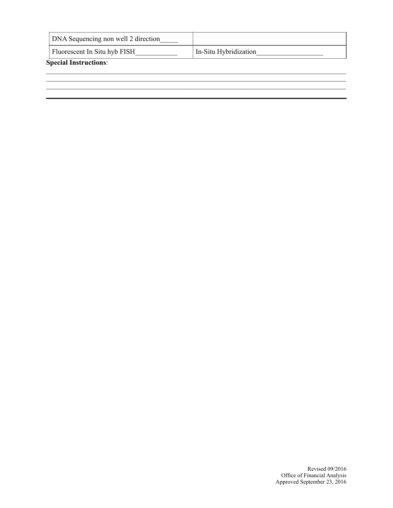| DNA Sequencing non well 2 direction |                       |
|-------------------------------------|-----------------------|
| Fluorescent In Situ hyb FISH        | In-Situ Hybridization |
| <b>Special Instructions:</b>        |                       |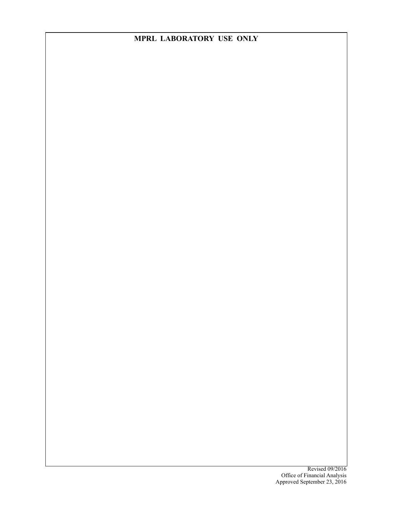## **MPRL LABORATORY USE ONLY**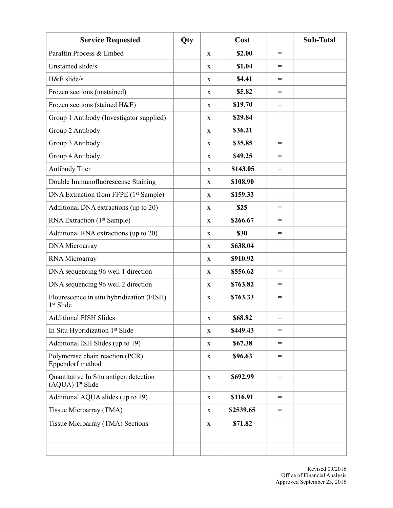| <b>Service Requested</b>                                           | Qty |             | Cost      |                   | Sub-Total |
|--------------------------------------------------------------------|-----|-------------|-----------|-------------------|-----------|
| Paraffin Process & Embed                                           |     | X           | \$2.00    | $\!\!\!=\!\!\!\!$ |           |
| Unstained slide/s                                                  |     | X           | \$1.04    | $\!\!\!=\!\!\!\!$ |           |
| H&E slide/s                                                        |     | X           | \$4.41    | $\!\!\!=\!\!\!$   |           |
| Frozen sections (unstained)                                        |     | X           | \$5.82    | $=$               |           |
| Frozen sections (stained H&E)                                      |     | X           | \$19.70   | $\!\!\!=\!\!\!\!$ |           |
| Group 1 Antibody (Investigator supplied)                           |     | X           | \$29.84   | $\!\!\!=\!\!\!\!$ |           |
| Group 2 Antibody                                                   |     | X           | \$36.21   | $\!\!\!=\!\!\!\!$ |           |
| Group 3 Antibody                                                   |     | X           | \$35.85   | $\!\!\!=\!\!\!\!$ |           |
| Group 4 Antibody                                                   |     | X           | \$49.25   | $\!\!\!=\!\!\!\!$ |           |
| Antibody Titer                                                     |     | X           | \$143.05  | $\!\!\!=\!\!\!\!$ |           |
| Double Immunofluorescense Staining                                 |     | X           | \$108.90  | $\!\!\!=\!\!\!\!$ |           |
| DNA Extraction from FFPE (1 <sup>st</sup> Sample)                  |     | X           | \$159.33  | $\!\!\!=\!\!\!\!$ |           |
| Additional DNA extractions (up to 20)                              |     | X           | \$25      | $\!\!\!=\!\!\!\!$ |           |
| RNA Extraction (1 <sup>st</sup> Sample)                            |     | X           | \$266.67  | $=$               |           |
| Additional RNA extractions (up to 20)                              |     | X           | \$30      | $=$               |           |
| DNA Microarray                                                     |     | X           | \$638.04  | $\!\!\!=\!\!\!\!$ |           |
| RNA Microarray                                                     |     | X           | \$910.92  | $\!\!\!=\!\!\!\!$ |           |
| DNA sequencing 96 well 1 direction                                 |     | X           | \$556.62  | $=$               |           |
| DNA sequencing 96 well 2 direction                                 |     | X           | \$763.82  | $\!\!\!=\!\!\!\!$ |           |
| Flourescence in situ hybridization (FISH)<br>1 <sup>st</sup> Slide |     | X           | \$763.33  | $\!\!\!=\!\!\!\!$ |           |
| <b>Additional FISH Slides</b>                                      |     | X           | \$68.82   | $=$               |           |
| In Situ Hybridization 1st Slide                                    |     | X           | \$449.43  | $\!\!\!=\!\!\!\!$ |           |
| Additional ISH Slides (up to 19)                                   |     | X           | \$67.38   | $=$               |           |
| Polymerase chain reaction (PCR)<br>Eppendorf method                |     | X           | \$96.63   | $\!\!\!=\!\!\!\!$ |           |
| Quantitative In Situ antigen detection<br>(AQUA) 1st Slide         |     | $\mathbf X$ | \$692.99  | $=$               |           |
| Additional AQUA slides (up to 19)                                  |     | $\mathbf X$ | \$116.91  | $=$               |           |
| Tissue Microarray (TMA)                                            |     | X           | \$2539.65 | $\!\!\!=\!\!\!\!$ |           |
| Tissue Microarray (TMA) Sections                                   |     | X           | \$71.82   | $\!\!\!=\!\!\!\!$ |           |
|                                                                    |     |             |           |                   |           |
|                                                                    |     |             |           |                   |           |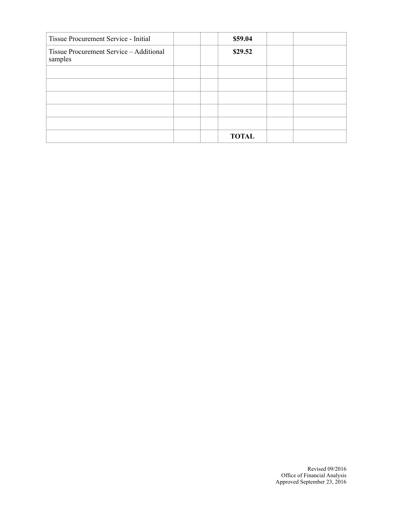| Tissue Procurement Service - Initial               |  | \$59.04      |  |
|----------------------------------------------------|--|--------------|--|
| Tissue Procurement Service - Additional<br>samples |  | \$29.52      |  |
|                                                    |  |              |  |
|                                                    |  |              |  |
|                                                    |  |              |  |
|                                                    |  |              |  |
|                                                    |  |              |  |
|                                                    |  | <b>TOTAL</b> |  |